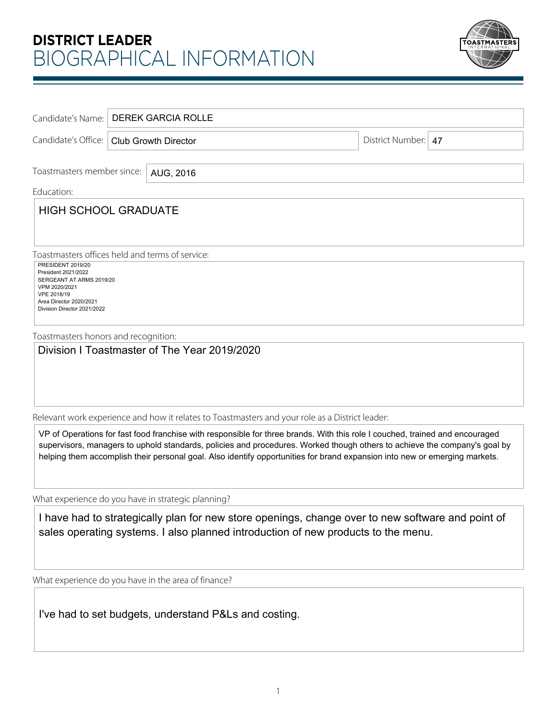## **DISTRICT LEADER** BIOGRAPHICAL INFORMATION



|                                                 | Candidate's Name:   DEREK GARCIA ROLLE     |  |  |  |                       |  |
|-------------------------------------------------|--------------------------------------------|--|--|--|-----------------------|--|
|                                                 | Candidate's Office:   Club Growth Director |  |  |  | District Number:   47 |  |
| Toastmasters member since:<br>AUG, 2016         |                                            |  |  |  |                       |  |
| Education:                                      |                                            |  |  |  |                       |  |
| <b>HIGH SCHOOL GRADUATE</b>                     |                                            |  |  |  |                       |  |
|                                                 |                                            |  |  |  |                       |  |
|                                                 |                                            |  |  |  |                       |  |
| Toastmasters offices held and terms of service: |                                            |  |  |  |                       |  |
| <b>PRESIDENT 2019/20</b><br>President 2021/2022 |                                            |  |  |  |                       |  |
| SERGEANT AT ARMS 2019/20<br>VPM 2020/2021       |                                            |  |  |  |                       |  |
| VPE 2018/19<br>Area Director 2020/2021          |                                            |  |  |  |                       |  |
| Division Director 2021/2022                     |                                            |  |  |  |                       |  |
| Toastmasters honors and recognition:            |                                            |  |  |  |                       |  |
| Division I Toastmaster of The Year 2019/2020    |                                            |  |  |  |                       |  |
|                                                 |                                            |  |  |  |                       |  |
|                                                 |                                            |  |  |  |                       |  |
|                                                 |                                            |  |  |  |                       |  |
|                                                 |                                            |  |  |  |                       |  |

Relevant work experience and how it relates to Toastmasters and your role as a District leader:

VP of Operations for fast food franchise with responsible for three brands. With this role I couched, trained and encouraged supervisors, managers to uphold standards, policies and procedures. Worked though others to achieve the company's goal by helping them accomplish their personal goal. Also identify opportunities for brand expansion into new or emerging markets.

What experience do you have in strategic planning?

I have had to strategically plan for new store openings, change over to new software and point of sales operating systems. I also planned introduction of new products to the menu.<br>I've had to set budgets, understand P&Ls and costing.

What experience do you have in the area of finance?